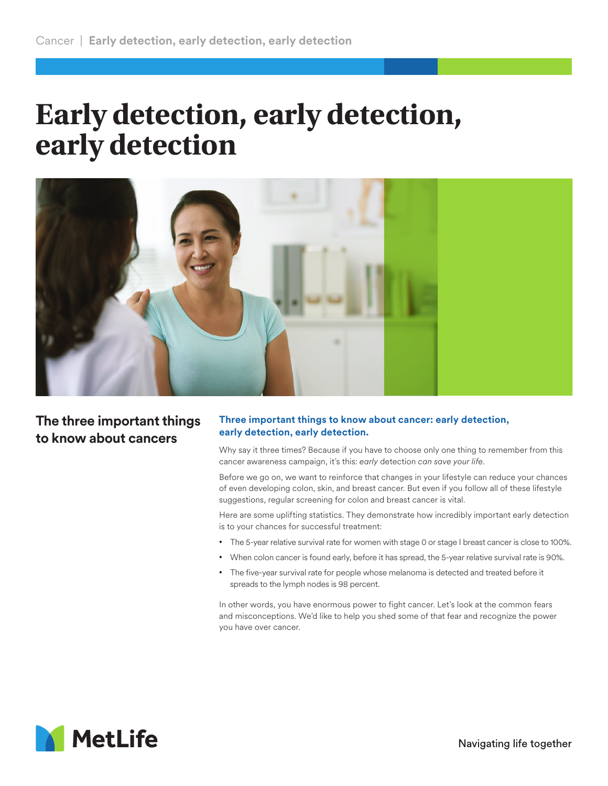## **Early detection, early detection, early detection**



**The three important things to know about cancers**

## **Three important things to know about cancer: early detection, early detection, early detection.**

Why say it three times? Because if you have to choose only one thing to remember from this cancer awareness campaign, it's this: *early* detection *can save your life*.

Before we go on, we want to reinforce that changes in your lifestyle can reduce your chances of even developing colon, skin, and breast cancer. But even if you follow all of these lifestyle suggestions, regular screening for colon and breast cancer is vital.

Here are some uplifting statistics. They demonstrate how incredibly important early detection is to your chances for successful treatment:

- The 5-year relative survival rate for women with stage 0 or stage I breast cancer is close to 100%.
- When colon cancer is found early, before it has spread, the 5-year relative survival rate is 90%.
- The five-year survival rate for people whose melanoma is detected and treated before it spreads to the lymph nodes is 98 percent.

In other words, you have enormous power to fight cancer. Let's look at the common fears and misconceptions. We'd like to help you shed some of that fear and recognize the power you have over cancer.